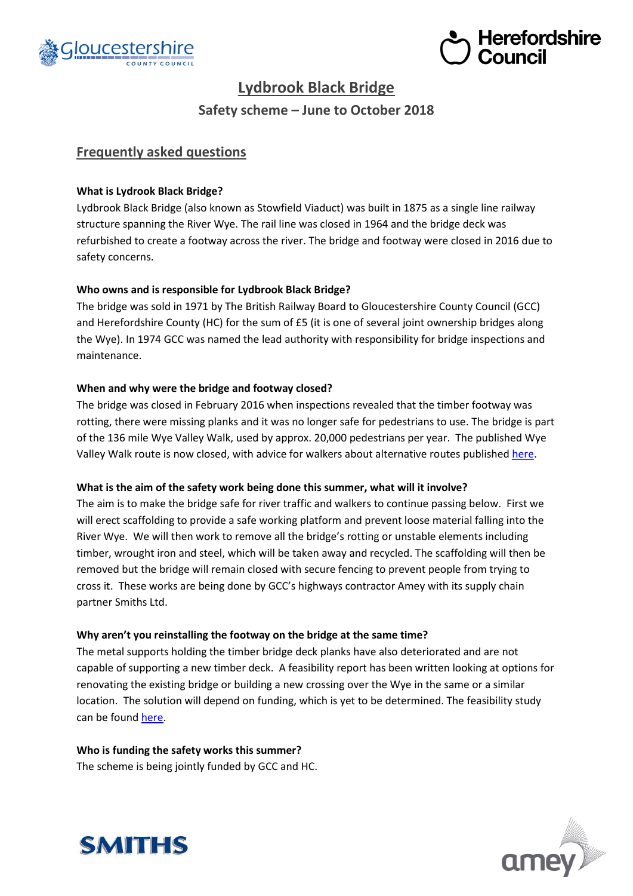



# **Lydbrook Black Bridge**

**Safety scheme – June to October 2018**

# **Frequently asked questions**

# **What is Lydrook Black Bridge?**

Lydbrook Black Bridge (also known as Stowfield Viaduct) was built in 1875 as a single line railway structure spanning the River Wye. The rail line was closed in 1964 and the bridge deck was refurbished to create a footway across the river. The bridge and footway were closed in 2016 due to safety concerns.

# **Who owns and is responsible for Lydbrook Black Bridge?**

The bridge was sold in 1971 by The British Railway Board to Gloucestershire County Council (GCC) and Herefordshire County (HC) for the sum of £5 (it is one of several joint ownership bridges along the Wye). In 1974 GCC was named the lead authority with responsibility for bridge inspections and maintenance.

# **When and why were the bridge and footway closed?**

The bridge was closed in February 2016 when inspections revealed that the timber footway was rotting, there were missing planks and it was no longer safe for pedestrians to use. The bridge is part of the 136 mile Wye Valley Walk, used by approx. 20,000 pedestrians per year. The published Wye Valley Walk route is now closed, with advice for walkers about alternative routes publishe[d here.](http://www.wyevalleywalk.org/content.php?nID=3)

## **What is the aim of the safety work being done this summer, what will it involve?**

The aim is to make the bridge safe for river traffic and walkers to continue passing below. First we will erect scaffolding to provide a safe working platform and prevent loose material falling into the River Wye. We will then work to remove all the bridge's rotting or unstable elements including timber, wrought iron and steel, which will be taken away and recycled. The scaffolding will then be removed but the bridge will remain closed with secure fencing to prevent people from trying to cross it. These works are being done by GCC's highways contractor Amey with its supply chain partner Smiths Ltd.

## **Why aren't you reinstalling the footway on the bridge at the same time?**

The metal supports holding the timber bridge deck planks have also deteriorated and are not capable of supporting a new timber deck. A feasibility report has been written looking at options for renovating the existing bridge or building a new crossing over the Wye in the same or a similar location. The solution will depend on funding, which is yet to be determined. The feasibility study can be found [here.](https://www.gloucestershire.gov.uk/media/17359/Lydbrook-feasibility-rev-d2.pdf)

## **Who is funding the safety works this summer?**

The scheme is being jointly funded by GCC and HC.